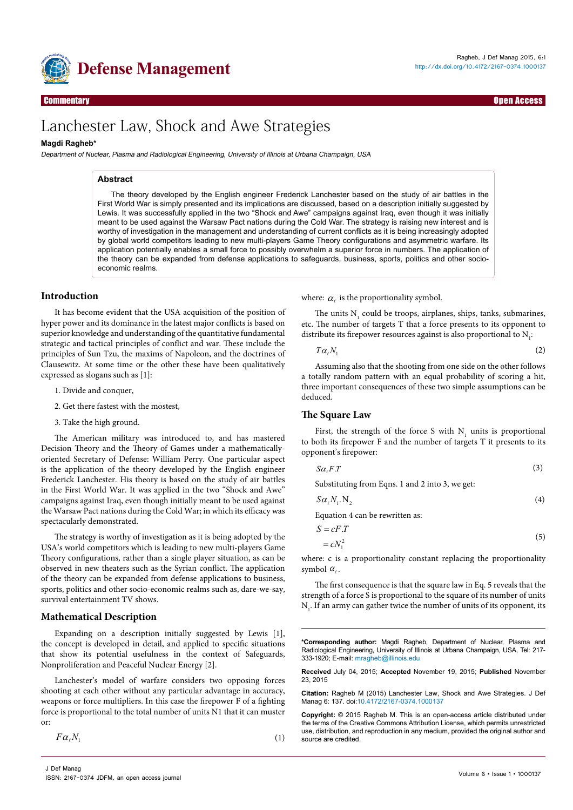

Research Article Open Access Commentary Open Access

# Lanchester Law, Shock and Awe Strategies

# **Magdi Ragheb\***

Department of Nuclear, Plasma and Radiological Engineering, University of Illinois at Urbana Champaign, USA

## **Abstract**

The theory developed by the English engineer Frederick Lanchester based on the study of air battles in the First World War is simply presented and its implications are discussed, based on a description initially suggested by Lewis. It was successfully applied in the two "Shock and Awe" campaigns against Iraq, even though it was initially meant to be used against the Warsaw Pact nations during the Cold War. The strategy is raising new interest and is worthy of investigation in the management and understanding of current conflicts as it is being increasingly adopted by global world competitors leading to new multi-players Game Theory configurations and asymmetric warfare. Its application potentially enables a small force to possibly overwhelm a superior force in numbers. The application of the theory can be expanded from defense applications to safeguards, business, sports, politics and other socioeconomic realms.

## **Introduction**

It has become evident that the USA acquisition of the position of hyper power and its dominance in the latest major conflicts is based on superior knowledge and understanding of the quantitative fundamental strategic and tactical principles of conflict and war. These include the principles of Sun Tzu, the maxims of Napoleon, and the doctrines of Clausewitz. At some time or the other these have been qualitatively expressed as slogans such as [1]:

- 1. Divide and conquer,
- 2. Get there fastest with the mostest,
- 3. Take the high ground.

The American military was introduced to, and has mastered Decision Theory and the Theory of Games under a mathematicallyoriented Secretary of Defense: William Perry. One particular aspect is the application of the theory developed by the English engineer Frederick Lanchester. His theory is based on the study of air battles in the First World War. It was applied in the two "Shock and Awe" campaigns against Iraq, even though initially meant to be used against the Warsaw Pact nations during the Cold War; in which its efficacy was spectacularly demonstrated.

The strategy is worthy of investigation as it is being adopted by the USA's world competitors which is leading to new multi-players Game Theory configurations, rather than a single player situation, as can be observed in new theaters such as the Syrian conflict. The application of the theory can be expanded from defense applications to business, sports, politics and other socio-economic realms such as, dare-we-say, survival entertainment TV shows.

## **Mathematical Description**

Expanding on a description initially suggested by Lewis [1], the concept is developed in detail, and applied to specific situations that show its potential usefulness in the context of Safeguards, Nonproliferation and Peaceful Nuclear Energy [2].

Lanchester's model of warfare considers two opposing forces shooting at each other without any particular advantage in accuracy, weapons or force multipliers. In this case the firepower F of a fighting force is proportional to the total number of units N1 that it can muster or:

 $F\alpha_{\ell}N_1$  (1)

where:  $\alpha_{\ell}$  is the proportionality symbol.

The units  $N_1$  could be troops, airplanes, ships, tanks, submarines, etc. The number of targets T that a force presents to its opponent to distribute its firepower resources against is also proportional to  $N_i$ :

 $T\alpha_{\ell}N_{1}$  (2)

Assuming also that the shooting from one side on the other follows a totally random pattern with an equal probability of scoring a hit, three important consequences of these two simple assumptions can be deduced.

## **The Square Law**

First, the strength of the force S with  $N_1$  units is proportional to both its firepower F and the number of targets T it presents to its opponent's firepower:

$$
S\alpha_{\ell}F.T \tag{3}
$$

Substituting from Eqns. 1 and 2 into 3, we get:

$$
S\alpha_{\ell}N_{1}.\,N_{2} \tag{4}
$$

Equation 4 can be rewritten as:

$$
S = cF.T
$$
  

$$
= cN_1^2
$$
 (5)

where: c is a proportionality constant replacing the proportionality symbol  $\alpha_i$ .

The first consequence is that the square law in Eq. 5 reveals that the strength of a force S is proportional to the square of its number of units  $N<sub>1</sub>$ . If an army can gather twice the number of units of its opponent, its

**\*Corresponding author:** Magdi Ragheb, Department of Nuclear, Plasma and Radiological Engineering, University of Illinois at Urbana Champaign, USA, Tel: 217- 333-1920; E-mail: mragheb@illinois.edu

**Received** July 04, 2015; **Accepted** November 19, 2015; **Published** November 23, 2015

**Citation:** Ragheb M (2015) Lanchester Law, Shock and Awe Strategies. J Def Manag 6: 137. doi[:10.4172/2167-0374.1000137](http://dx.doi.org/10.4172/2167-0374.1000137)

**Copyright:** © 2015 Ragheb M. This is an open-access article distributed under the terms of the Creative Commons Attribution License, which permits unrestricted use, distribution, and reproduction in any medium, provided the original author and source are credited.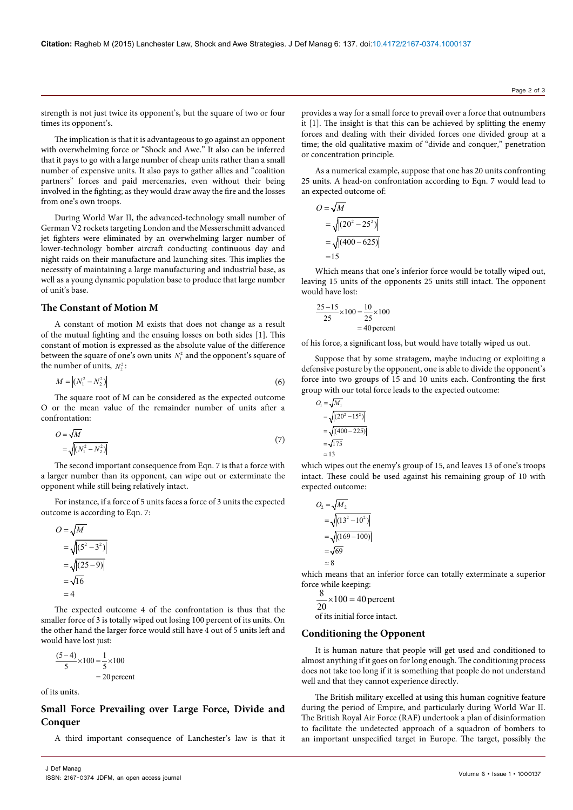strength is not just twice its opponent's, but the square of two or four times its opponent's.

The implication is that it is advantageous to go against an opponent with overwhelming force or "Shock and Awe." It also can be inferred that it pays to go with a large number of cheap units rather than a small number of expensive units. It also pays to gather allies and "coalition partners" forces and paid mercenaries, even without their being involved in the fighting; as they would draw away the fire and the losses from one's own troops.

During World War II, the advanced-technology small number of German V2 rockets targeting London and the Messerschmitt advanced jet fighters were eliminated by an overwhelming larger number of lower-technology bomber aircraft conducting continuous day and night raids on their manufacture and launching sites. This implies the necessity of maintaining a large manufacturing and industrial base, as well as a young dynamic population base to produce that large number of unit's base.

# **The Constant of Motion M**

A constant of motion M exists that does not change as a result of the mutual fighting and the ensuing losses on both sides [1]. This constant of motion is expressed as the absolute value of the difference between the square of one's own units  $N<sub>1</sub><sup>2</sup>$  and the opponent's square of the number of units,  $N_2^2$ :

$$
M = |(N_1^2 - N_2^2)| \tag{6}
$$

The square root of M can be considered as the expected outcome O or the mean value of the remainder number of units after a confrontation:

$$
O = \sqrt{M}
$$
  
= 
$$
\sqrt{\left(N_1^2 - N_2^2\right)}
$$
 (7)

The second important consequence from Eqn. 7 is that a force with a larger number than its opponent, can wipe out or exterminate the opponent while still being relatively intact.

For instance, if a force of 5 units faces a force of 3 units the expected outcome is according to Eqn. 7:

$$
O = \sqrt{M}
$$
  
= 
$$
\sqrt{\left| (5^2 - 3^2) \right|}
$$
  
= 
$$
\sqrt{\left| (25 - 9) \right|}
$$
  
= 
$$
\sqrt{16}
$$
  
= 4

The expected outcome 4 of the confrontation is thus that the smaller force of 3 is totally wiped out losing 100 percent of its units. On the other hand the larger force would still have 4 out of 5 units left and would have lost just:

$$
\frac{(5-4)}{5} \times 100 = \frac{1}{5} \times 100
$$
  
= 20 percent

of its units.

# **Small Force Prevailing over Large Force, Divide and Conquer**

A third important consequence of Lanchester's law is that it

provides a way for a small force to prevail over a force that outnumbers it [1]. The insight is that this can be achieved by splitting the enemy forces and dealing with their divided forces one divided group at a time; the old qualitative maxim of "divide and conquer," penetration or concentration principle.

As a numerical example, suppose that one has 20 units confronting 25 units. A head-on confrontation according to Eqn. 7 would lead to an expected outcome of:

$$
O = \sqrt{M}
$$
  
=  $\sqrt{|(20^2 - 25^2)|}$   
=  $\sqrt{|(400 - 625)|}$   
= 15

Which means that one's inferior force would be totally wiped out, leaving 15 units of the opponents 25 units still intact. The opponent would have lost:

$$
\frac{25-15}{25} \times 100 = \frac{10}{25} \times 100
$$
  
= 40 percent

of his force, a significant loss, but would have totally wiped us out.

Suppose that by some stratagem, maybe inducing or exploiting a defensive posture by the opponent, one is able to divide the opponent's force into two groups of 15 and 10 units each. Confronting the first group with our total force leads to the expected outcome:

$$
O_1 = \sqrt{M_1}
$$
  
=  $\sqrt{|(20^2 - 15^2)|}$   
=  $\sqrt{|(400 - 225)|}$   
=  $\sqrt{175}$   
= 13

which wipes out the enemy's group of 15, and leaves 13 of one's troops intact. These could be used against his remaining group of 10 with expected outcome:

$$
O_2 = \sqrt{M_2}
$$
  
=  $\sqrt{|(13^2 - 10^2)|}$   
=  $\sqrt{|(169 - 100)|}$   
=  $\sqrt{69}$   
= 8

which means that an inferior force can totally exterminate a superior force while keeping:

$$
\frac{8}{20} \times 100 = 40
$$
 percent  
of its initial force intact.

of its initial force intact.

## **Conditioning the Opponent**

It is human nature that people will get used and conditioned to almost anything if it goes on for long enough. The conditioning process does not take too long if it is something that people do not understand well and that they cannot experience directly.

The British military excelled at using this human cognitive feature during the period of Empire, and particularly during World War II. The British Royal Air Force (RAF) undertook a plan of disinformation to facilitate the undetected approach of a squadron of bombers to an important unspecified target in Europe. The target, possibly the